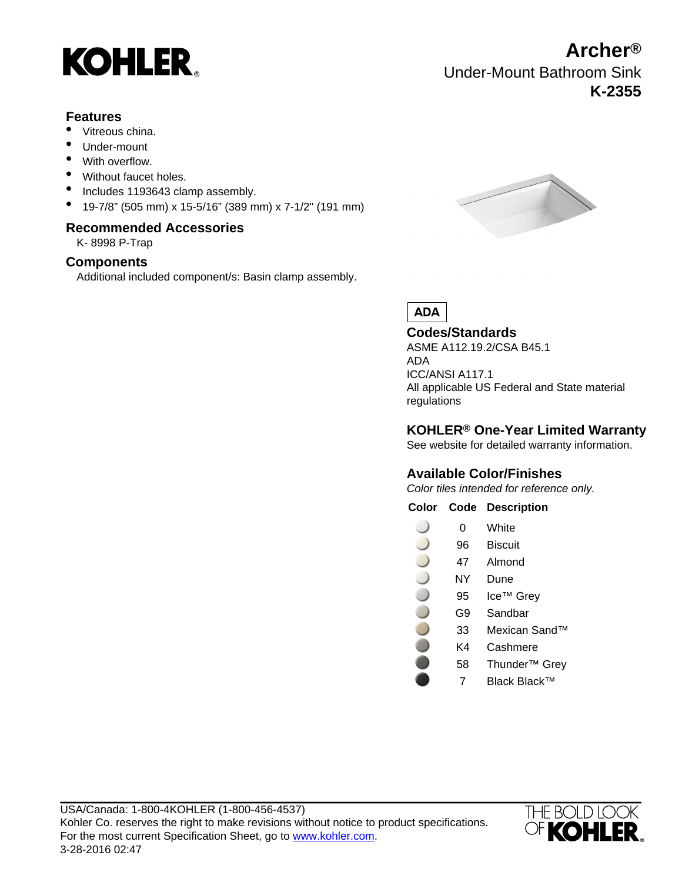

#### **Features**

- Vitreous china.
- Under-mount
- With overflow.
- Without faucet holes.
- Includes 1193643 clamp assembly.
- 19-7/8" (505 mm) x 15-5/16" (389 mm) x 7-1/2" (191 mm)

#### **Recommended Accessories**

K- 8998 P-Trap

#### **Components**

Additional included component/s: Basin clamp assembly.



Under-Mount Bathroom Sink

**Archer®**

**K-2355**

**ADA** 

#### **Codes/Standards** ASME A112.19.2/CSA B45.1 ADA ICC/ANSI A117.1 All applicable US Federal and State material regulations

### **KOHLER® One-Year Limited Warranty**

See website for detailed warranty information.

### **Available Color/Finishes**

Color tiles intended for reference only.

**Color Code Description**

- 0 White
- 96 Biscuit
- 47 Almond
- NY Dune
- 95 Ice™ Grev
- G9 Sandbar
- 33 Mexican Sand™
	- K4 Cashmere
		- 58 Thunder™ Grey
		- 7 Black Black™